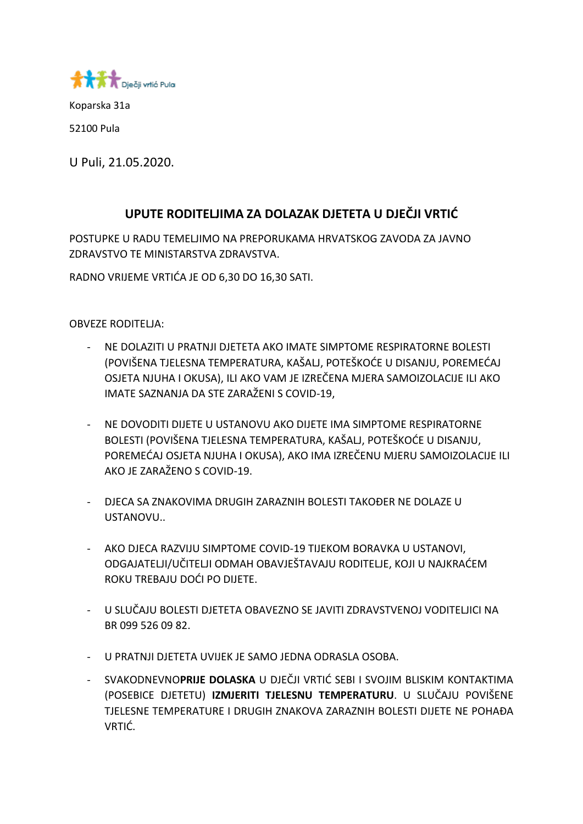

Koparska 31a

52100 Pula

U Puli, 21.05.2020.

## **UPUTE RODITELJIMA ZA DOLAZAK DJETETA U DJEČJI VRTIĆ**

POSTUPKE U RADU TEMELJIMO NA PREPORUKAMA HRVATSKOG ZAVODA ZA JAVNO ZDRAVSTVO TE MINISTARSTVA ZDRAVSTVA.

RADNO VRIJEME VRTIĆA JE OD 6,30 DO 16,30 SATI.

OBVEZE RODITELJA:

- NE DOLAZITI U PRATNJI DJETETA AKO IMATE SIMPTOME RESPIRATORNE BOLESTI (POVIŠENA TJELESNA TEMPERATURA, KAŠALJ, POTEŠKOĆE U DISANJU, POREMEĆAJ OSJETA NJUHA I OKUSA), ILI AKO VAM JE IZREČENA MJERA SAMOIZOLACIJE ILI AKO IMATE SAZNANJA DA STE ZARAŽENI S COVID-19,
- NE DOVODITI DIJETE U USTANOVU AKO DIJETE IMA SIMPTOME RESPIRATORNE BOLESTI (POVIŠENA TJELESNA TEMPERATURA, KAŠALJ, POTEŠKOĆE U DISANJU, POREMEĆAJ OSJETA NJUHA I OKUSA), AKO IMA IZREČENU MJERU SAMOIZOLACIJE ILI AKO JE ZARAŽENO S COVID-19.
- DJECA SA ZNAKOVIMA DRUGIH ZARAZNIH BOLESTI TAKOĐER NE DOLAZE U USTANOVU..
- AKO DJECA RAZVIJU SIMPTOME COVID-19 TIJEKOM BORAVKA U USTANOVI, ODGAJATELJI/UČITELJI ODMAH OBAVJEŠTAVAJU RODITELJE, KOJI U NAJKRAĆEM ROKU TREBAJU DOĆI PO DIJETE.
- U SLUČAJU BOLESTI DJETETA OBAVEZNO SE JAVITI ZDRAVSTVENOJ VODITELJICI NA BR 099 526 09 82.
- U PRATNJI DJETETA UVIJEK JE SAMO JEDNA ODRASLA OSOBA.
- SVAKODNEVNO**PRIJE DOLASKA** U DJEČJI VRTIĆ SEBI I SVOJIM BLISKIM KONTAKTIMA (POSEBICE DJETETU) **IZMJERITI TJELESNU TEMPERATURU**. U SLUČAJU POVIŠENE TJELESNE TEMPERATURE I DRUGIH ZNAKOVA ZARAZNIH BOLESTI DIJETE NE POHAĐA VRTIĆ.